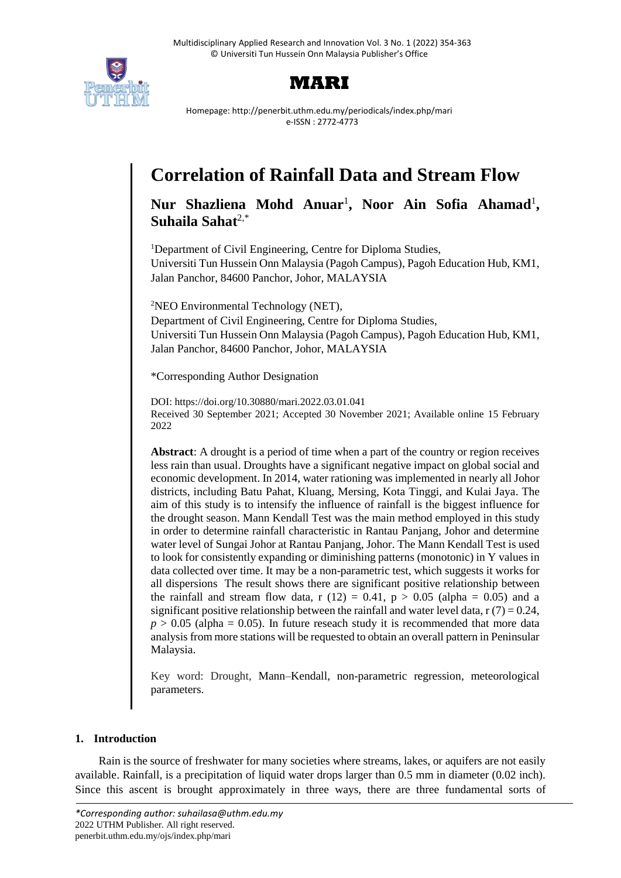



Homepage: http://penerbit.uthm.edu.my/periodicals/index.php/mari e-ISSN : 2772-4773

# **Correlation of Rainfall Data and Stream Flow**

Nur Shazliena Mohd Anuar<sup>1</sup>, Noor Ain Sofia Ahamad<sup>1</sup>, **Suhaila Sahat**2,\*

<sup>1</sup>Department of Civil Engineering, Centre for Diploma Studies, Universiti Tun Hussein Onn Malaysia (Pagoh Campus), Pagoh Education Hub, KM1, Jalan Panchor, 84600 Panchor, Johor, MALAYSIA

<sup>2</sup>NEO Environmental Technology (NET), Department of Civil Engineering, Centre for Diploma Studies, Universiti Tun Hussein Onn Malaysia (Pagoh Campus), Pagoh Education Hub, KM1, Jalan Panchor, 84600 Panchor, Johor, MALAYSIA

\*Corresponding Author Designation

DOI: https://doi.org/10.30880/mari.2022.03.01.041 Received 30 September 2021; Accepted 30 November 2021; Available online 15 February 2022

**Abstract**: A drought is a period of time when a part of the country or region receives less rain than usual. Droughts have a significant negative impact on global social and economic development. In 2014, water rationing was implemented in nearly all Johor districts, including Batu Pahat, Kluang, Mersing, Kota Tinggi, and Kulai Jaya. The aim of this study is to intensify the influence of rainfall is the biggest influence for the drought season. Mann Kendall Test was the main method employed in this study in order to determine rainfall characteristic in Rantau Panjang, Johor and determine water level of Sungai Johor at Rantau Panjang, Johor. The Mann Kendall Test is used to look for consistently expanding or diminishing patterns (monotonic) in Y values in data collected over time. It may be a non-parametric test, which suggests it works for all dispersions The result shows there are significant positive relationship between the rainfall and stream flow data, r (12) = 0.41,  $p > 0.05$  (alpha = 0.05) and a significant positive relationship between the rainfall and water level data,  $r(7) = 0.24$ ,  $p > 0.05$  (alpha = 0.05). In future reseach study it is recommended that more data analysis from more stations will be requested to obtain an overall pattern in Peninsular Malaysia.

Key word: Drought, Mann–Kendall, non-parametric regression, meteorological parameters.

# **1. Introduction**

Rain is the source of freshwater for many societies where streams, lakes, or aquifers are not easily available. Rainfall, is a precipitation of liquid water drops larger than 0.5 mm in diameter (0.02 inch). Since this ascent is brought approximately in three ways, there are three fundamental sorts of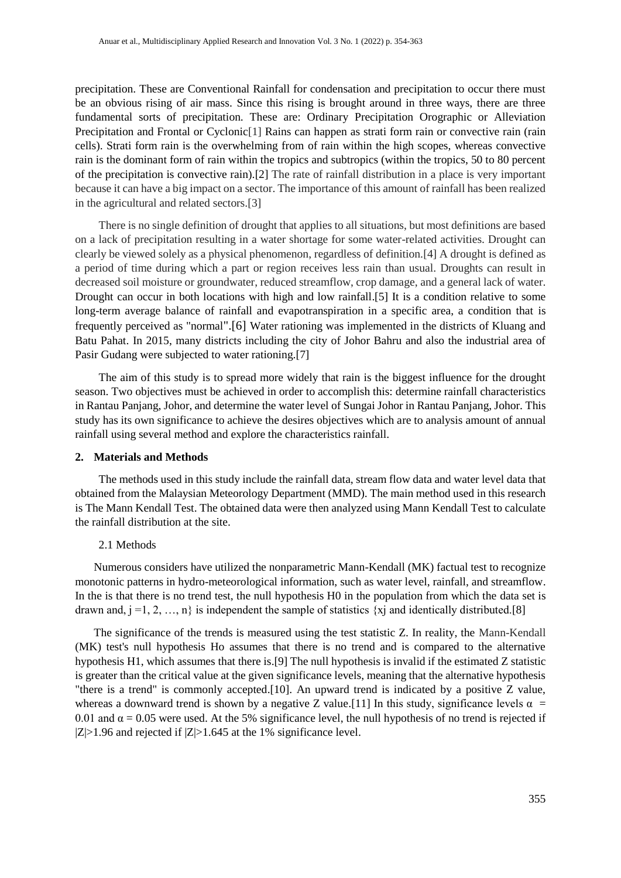precipitation. These are Conventional Rainfall for condensation and precipitation to occur there must be an obvious rising of air mass. Since this rising is brought around in three ways, there are three fundamental sorts of precipitation. These are: Ordinary Precipitation Orographic or Alleviation Precipitation and Frontal or Cyclonic<sup>[1]</sup> Rains can happen as strati form rain or convective rain (rain cells). Strati form rain is the overwhelming from of rain within the high scopes, whereas convective rain is the dominant form of rain within the tropics and subtropics (within the tropics, 50 to 80 percent of the precipitation is convective rain).[2] The rate of rainfall distribution in a place is very important because it can have a big impact on a sector. The importance of this amount of rainfall has been realized in the agricultural and related sectors.[3]

There is no single definition of drought that applies to all situations, but most definitions are based on a lack of precipitation resulting in a water shortage for some water-related activities. Drought can clearly be viewed solely as a physical phenomenon, regardless of definition.[4] A drought is defined as a period of time during which a part or region receives less rain than usual. Droughts can result in decreased soil moisture or groundwater, reduced streamflow, crop damage, and a general lack of water. Drought can occur in both locations with high and low rainfall.[5] It is a condition relative to some long-term average balance of rainfall and evapotranspiration in a specific area, a condition that is frequently perceived as "normal".[6] Water rationing was implemented in the districts of Kluang and Batu Pahat. In 2015, many districts including the city of Johor Bahru and also the industrial area of Pasir Gudang were subjected to water rationing.[7]

The aim of this study is to spread more widely that rain is the biggest influence for the drought season. Two objectives must be achieved in order to accomplish this: determine rainfall characteristics in Rantau Panjang, Johor, and determine the water level of Sungai Johor in Rantau Panjang, Johor. This study has its own significance to achieve the desires objectives which are to analysis amount of annual rainfall using several method and explore the characteristics rainfall.

#### **2. Materials and Methods**

The methods used in this study include the rainfall data, stream flow data and water level data that obtained from the Malaysian Meteorology Department (MMD). The main method used in this research is The Mann Kendall Test. The obtained data were then analyzed using Mann Kendall Test to calculate the rainfall distribution at the site.

## 2.1 Methods

Numerous considers have utilized the nonparametric Mann-Kendall (MK) factual test to recognize monotonic patterns in hydro-meteorological information, such as water level, rainfall, and streamflow. In the is that there is no trend test, the null hypothesis H0 in the population from which the data set is drawn and,  $j = 1, 2, ..., n$  is independent the sample of statistics {xj and identically distributed.[8]

The significance of the trends is measured using the test statistic Z. In reality, the Mann-Kendall (MK) test's null hypothesis Ho assumes that there is no trend and is compared to the alternative hypothesis H1, which assumes that there is.[9] The null hypothesis is invalid if the estimated Z statistic is greater than the critical value at the given significance levels, meaning that the alternative hypothesis "there is a trend" is commonly accepted.[10]. An upward trend is indicated by a positive Z value, whereas a downward trend is shown by a negative Z value.[11] In this study, significance levels  $\alpha$  = 0.01 and  $\alpha$  = 0.05 were used. At the 5% significance level, the null hypothesis of no trend is rejected if  $|Z|>1.96$  and rejected if  $|Z|>1.645$  at the 1% significance level.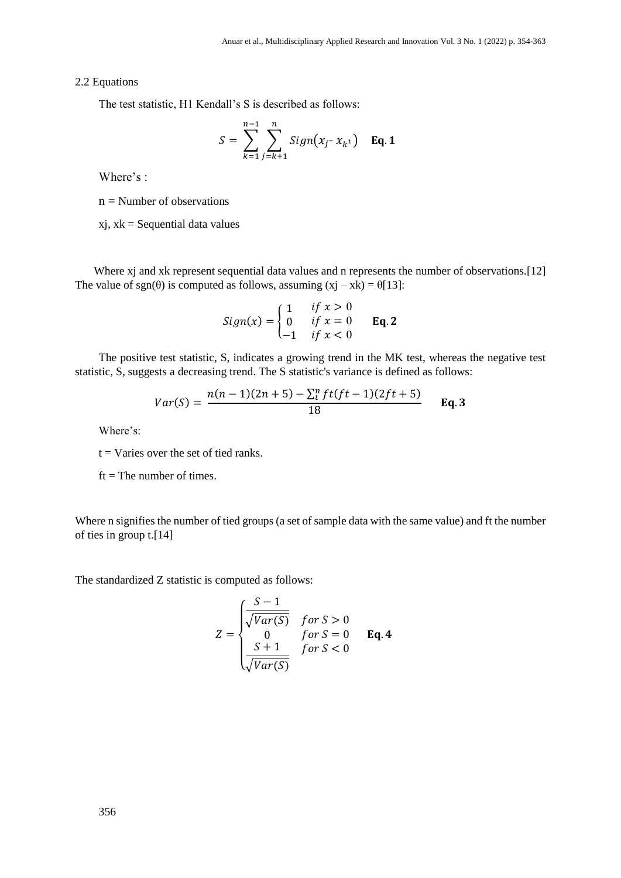#### 2.2 Equations

The test statistic, H1 Kendall's S is described as follows:

$$
S = \sum_{k=1}^{n-1} \sum_{j=k+1}^{n} Sign(x_j - x_{k^1}) \quad \text{Eq. 1}
$$

Where's :

 $n =$  Number of observations

 $xj, xk =$  Sequential data values

Where x<sub>j</sub> and x<sub>k</sub> represent sequential data values and n represents the number of observations.<sup>[12]</sup> The value of sgn( $\theta$ ) is computed as follows, assuming  $(xj - xk) = \theta[13]$ :

$$
Sign(x) = \begin{cases} 1 & if \ x > 0 \\ 0 & if \ x = 0 \\ -1 & if \ x < 0 \end{cases}
$$
 Eq. 2

The positive test statistic, S, indicates a growing trend in the MK test, whereas the negative test statistic, S, suggests a decreasing trend. The S statistic's variance is defined as follows:

$$
Var(S) = \frac{n(n-1)(2n+5) - \sum_{t}^{n} f(t)(t-1)(2ft+5)}{18}
$$
 Eq. 3

Where's:

 $t = \text{Varies over the set of tied ranks.}$ 

 $ft = The number of times.$ 

Where n signifies the number of tied groups (a set of sample data with the same value) and ft the number of ties in group t.[14]

The standardized Z statistic is computed as follows:

$$
Z = \begin{cases} \frac{S-1}{\sqrt{Var(S)}} & \text{for } S > 0\\ 0 & \text{for } S = 0\\ \frac{S+1}{\sqrt{Var(S)}} & \text{for } S < 0 \end{cases} \quad \text{Eq. 4}
$$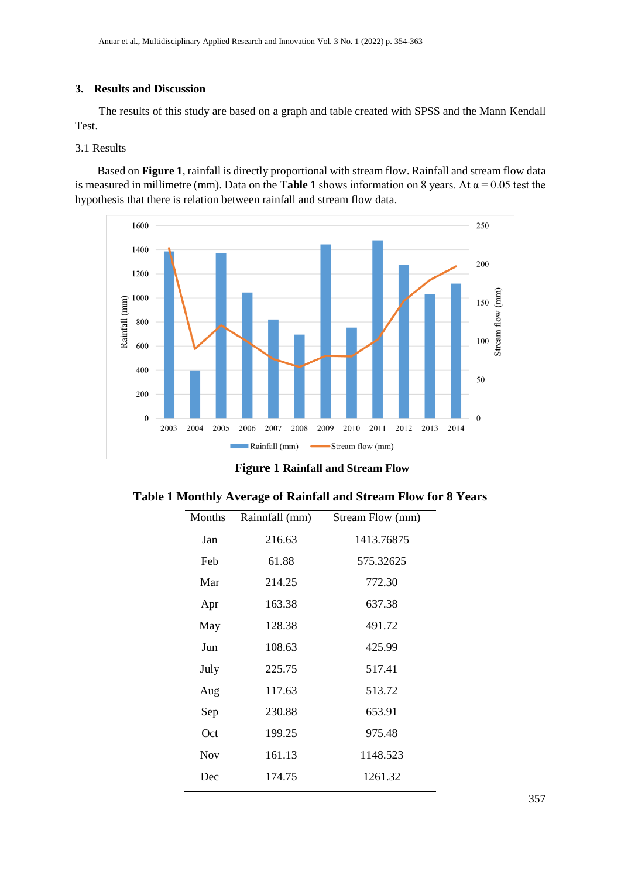# **3. Results and Discussion**

The results of this study are based on a graph and table created with SPSS and the Mann Kendall Test.

# 3.1 Results

Based on **Figure 1**, rainfall is directly proportional with stream flow. Rainfall and stream flow data is measured in millimetre (mm). Data on the **Table 1** shows information on 8 years. At  $\alpha$  = 0.05 test the hypothesis that there is relation between rainfall and stream flow data.



**Figure 1 Rainfall and Stream Flow**

| Months     | Rainnfall (mm) | Stream Flow (mm) |
|------------|----------------|------------------|
| Jan        | 216.63         | 1413.76875       |
| Feb        | 61.88          | 575.32625        |
| Mar        | 214.25         | 772.30           |
| Apr        | 163.38         | 637.38           |
| May        | 128.38         | 491.72           |
| Jun        | 108.63         | 425.99           |
| July       | 225.75         | 517.41           |
| Aug        | 117.63         | 513.72           |
| Sep        | 230.88         | 653.91           |
| Oct        | 199.25         | 975.48           |
| <b>Nov</b> | 161.13         | 1148.523         |
| Dec        | 174.75         | 1261.32          |

|  |  |  | Table 1 Monthly Average of Rainfall and Stream Flow for 8 Years |  |  |
|--|--|--|-----------------------------------------------------------------|--|--|
|--|--|--|-----------------------------------------------------------------|--|--|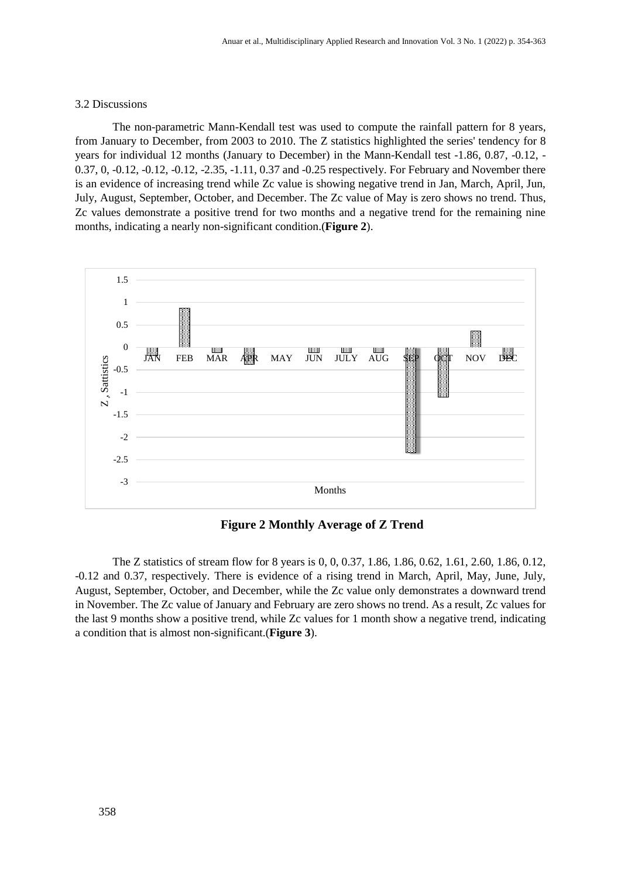#### 3.2 Discussions

The non-parametric Mann-Kendall test was used to compute the rainfall pattern for 8 years, from January to December, from 2003 to 2010. The Z statistics highlighted the series' tendency for 8 years for individual 12 months (January to December) in the Mann-Kendall test -1.86, 0.87, -0.12, - 0.37, 0, -0.12, -0.12, -0.12, -2.35, -1.11, 0.37 and -0.25 respectively. For February and November there is an evidence of increasing trend while Zc value is showing negative trend in Jan, March, April, Jun, July, August, September, October, and December. The Zc value of May is zero shows no trend. Thus, Zc values demonstrate a positive trend for two months and a negative trend for the remaining nine months, indicating a nearly non-significant condition.(**Figure 2**).



**Figure 2 Monthly Average of Z Trend** 

The Z statistics of stream flow for 8 years is 0, 0, 0.37, 1.86, 1.86, 0.62, 1.61, 2.60, 1.86, 0.12, -0.12 and 0.37, respectively. There is evidence of a rising trend in March, April, May, June, July, August, September, October, and December, while the Zc value only demonstrates a downward trend in November. The Zc value of January and February are zero shows no trend. As a result, Zc values for the last 9 months show a positive trend, while Zc values for 1 month show a negative trend, indicating a condition that is almost non-significant.(**Figure 3**).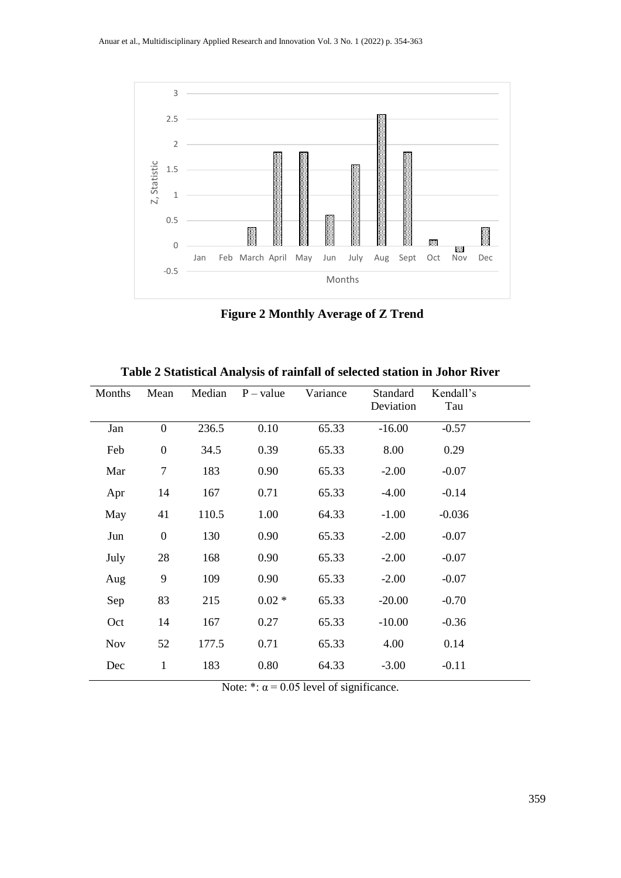

**Figure 2 Monthly Average of Z Trend**

| Months     | Mean             | Median | $P - value$ | Variance | Standard<br>Deviation | Kendall's<br>Tau |  |
|------------|------------------|--------|-------------|----------|-----------------------|------------------|--|
|            |                  |        |             |          |                       |                  |  |
| Jan        | $\boldsymbol{0}$ | 236.5  | 0.10        | 65.33    | $-16.00$              | $-0.57$          |  |
| Feb        | $\boldsymbol{0}$ | 34.5   | 0.39        | 65.33    | 8.00                  | 0.29             |  |
| Mar        | $\tau$           | 183    | 0.90        | 65.33    | $-2.00$               | $-0.07$          |  |
| Apr        | 14               | 167    | 0.71        | 65.33    | $-4.00$               | $-0.14$          |  |
| May        | 41               | 110.5  | 1.00        | 64.33    | $-1.00$               | $-0.036$         |  |
| Jun        | $\boldsymbol{0}$ | 130    | 0.90        | 65.33    | $-2.00$               | $-0.07$          |  |
| July       | 28               | 168    | 0.90        | 65.33    | $-2.00$               | $-0.07$          |  |
| Aug        | 9                | 109    | 0.90        | 65.33    | $-2.00$               | $-0.07$          |  |
| Sep        | 83               | 215    | $0.02 *$    | 65.33    | $-20.00$              | $-0.70$          |  |
| Oct        | 14               | 167    | 0.27        | 65.33    | $-10.00$              | $-0.36$          |  |
| <b>Nov</b> | 52               | 177.5  | 0.71        | 65.33    | 4.00                  | 0.14             |  |
| Dec        | $\mathbf{1}$     | 183    | 0.80        | 64.33    | $-3.00$               | $-0.11$          |  |

**Table 2 Statistical Analysis of rainfall of selected station in Johor River**

Note: \*:  $\alpha$  = 0.05 level of significance.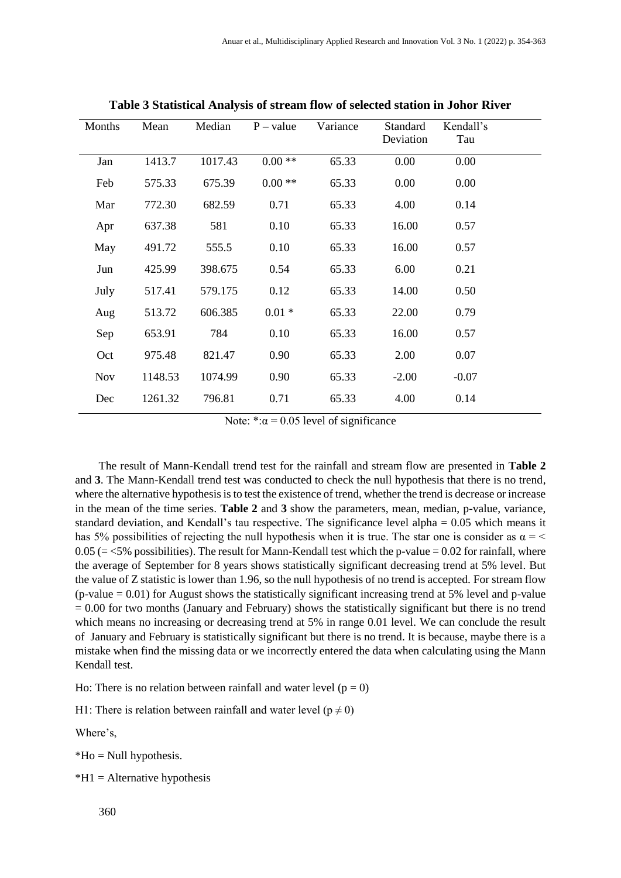| Months     | Mean    | Median  | $P - value$ | Variance | Standard<br>Deviation | Kendall's<br>Tau |
|------------|---------|---------|-------------|----------|-----------------------|------------------|
| Jan        | 1413.7  | 1017.43 | $0.00**$    | 65.33    | 0.00                  | 0.00             |
| Feb        | 575.33  | 675.39  | $0.00**$    | 65.33    | 0.00                  | 0.00             |
| Mar        | 772.30  | 682.59  | 0.71        | 65.33    | 4.00                  | 0.14             |
| Apr        | 637.38  | 581     | 0.10        | 65.33    | 16.00                 | 0.57             |
| May        | 491.72  | 555.5   | 0.10        | 65.33    | 16.00                 | 0.57             |
| Jun        | 425.99  | 398.675 | 0.54        | 65.33    | 6.00                  | 0.21             |
| July       | 517.41  | 579.175 | 0.12        | 65.33    | 14.00                 | 0.50             |
| Aug        | 513.72  | 606.385 | $0.01 *$    | 65.33    | 22.00                 | 0.79             |
| Sep        | 653.91  | 784     | 0.10        | 65.33    | 16.00                 | 0.57             |
| Oct        | 975.48  | 821.47  | 0.90        | 65.33    | 2.00                  | 0.07             |
| <b>Nov</b> | 1148.53 | 1074.99 | 0.90        | 65.33    | $-2.00$               | $-0.07$          |
| Dec        | 1261.32 | 796.81  | 0.71        | 65.33    | 4.00                  | 0.14             |

**Table 3 Statistical Analysis of stream flow of selected station in Johor River**

Note: \*: $\alpha$  = 0.05 level of significance

The result of Mann-Kendall trend test for the rainfall and stream flow are presented in **Table 2** and **3**. The Mann-Kendall trend test was conducted to check the null hypothesis that there is no trend, where the alternative hypothesis is to test the existence of trend, whether the trend is decrease or increase in the mean of the time series. **Table 2** and **3** show the parameters, mean, median, p-value, variance, standard deviation, and Kendall's tau respective. The significance level alpha = 0.05 which means it has 5% possibilities of rejecting the null hypothesis when it is true. The star one is consider as  $\alpha = \langle$  $0.05$  ( $=$  <5% possibilities). The result for Mann-Kendall test which the p-value  $= 0.02$  for rainfall, where the average of September for 8 years shows statistically significant decreasing trend at 5% level. But the value of Z statistic is lower than 1.96, so the null hypothesis of no trend is accepted. For stream flow  $(p-value = 0.01)$  for August shows the statistically significant increasing trend at 5% level and p-value  $= 0.00$  for two months (January and February) shows the statistically significant but there is no trend which means no increasing or decreasing trend at 5% in range 0.01 level. We can conclude the result of January and February is statistically significant but there is no trend. It is because, maybe there is a mistake when find the missing data or we incorrectly entered the data when calculating using the Mann Kendall test.

Ho: There is no relation between rainfall and water level  $(p = 0)$ 

H1: There is relation between rainfall and water level ( $p \neq 0$ )

Where's,

 $*$ Ho = Null hypothesis.

 $*H1 =$  Alternative hypothesis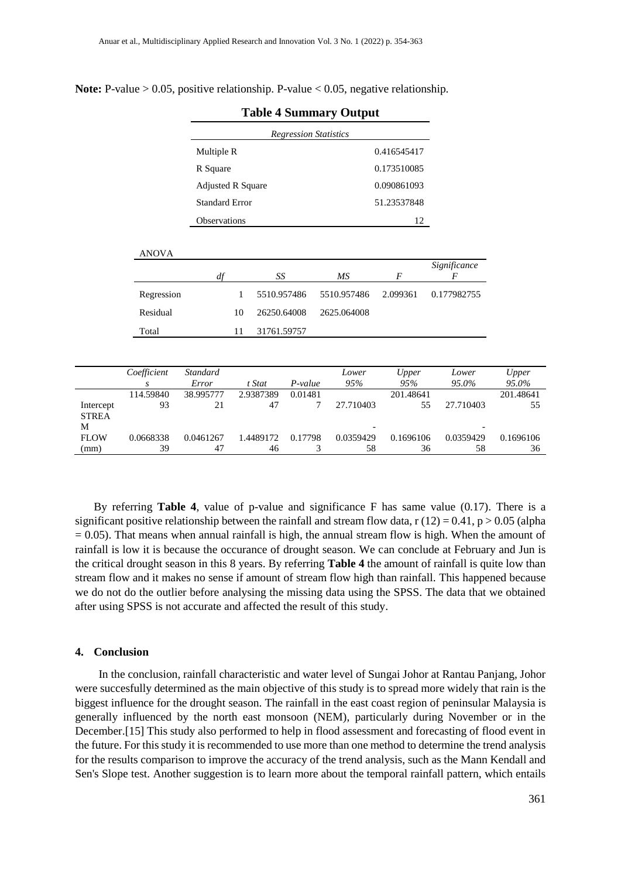|              | R Square                 |             |             | 0.173510085    |              |
|--------------|--------------------------|-------------|-------------|----------------|--------------|
|              | <b>Adjusted R Square</b> |             |             | 0.090861093    |              |
|              | <b>Standard Error</b>    |             |             | 51.23537848    |              |
|              | Observations             |             |             | 12             |              |
| <b>ANOVA</b> |                          |             |             |                |              |
|              | df                       | SS          | МS          | $\overline{F}$ | Significance |
| Regression   | 1                        | 5510.957486 | 5510.957486 | 2.099361       | 0.177982755  |
| Residual     | 10                       | 26250.64008 | 2625.064008 |                |              |
| Total        | 11                       | 31761.59757 |             |                |              |

**Note:** P-value > 0.05, positive relationship. P-value < 0.05, negative relationship.

|              | Coefficient | Standard  |           |         | Lower                    | Upper     | Lower     | Upper     |
|--------------|-------------|-----------|-----------|---------|--------------------------|-----------|-----------|-----------|
|              | S           | Error     | t Stat    | P-value | 95%                      | 95%       | 95.0%     | 95.0%     |
|              | 114.59840   | 38.995777 | 2.9387389 | 0.01481 |                          | 201.48641 |           | 201.48641 |
| Intercept    | 93          | 21        | 47        |         | 27.710403                | 55        | 27.710403 | 55        |
| <b>STREA</b> |             |           |           |         |                          |           |           |           |
| М            |             |           |           |         | $\overline{\phantom{0}}$ |           |           |           |
| <b>FLOW</b>  | 0.0668338   | 0.0461267 | 1.4489172 | 0.17798 | 0.0359429                | 0.1696106 | 0.0359429 | 0.1696106 |
| (mm)         | 39          | 47        | 46        |         | 58                       | 36        | 58        | 36        |

**Table 4 Summary Output** *Regression Statistics*

By referring **Table 4**, value of p-value and significance F has same value (0.17). There is a significant positive relationship between the rainfall and stream flow data,  $r(12) = 0.41$ ,  $p > 0.05$  (alpha  $= 0.05$ ). That means when annual rainfall is high, the annual stream flow is high. When the amount of rainfall is low it is because the occurance of drought season. We can conclude at February and Jun is the critical drought season in this 8 years. By referring **Table 4** the amount of rainfall is quite low than stream flow and it makes no sense if amount of stream flow high than rainfall. This happened because we do not do the outlier before analysing the missing data using the SPSS. The data that we obtained after using SPSS is not accurate and affected the result of this study.

#### **4. Conclusion**

In the conclusion, rainfall characteristic and water level of Sungai Johor at Rantau Panjang, Johor were succesfully determined as the main objective of this study is to spread more widely that rain is the biggest influence for the drought season. The rainfall in the east coast region of peninsular Malaysia is generally influenced by the north east monsoon (NEM), particularly during November or in the December.[15] This study also performed to help in flood assessment and forecasting of flood event in the future. For this study it is recommended to use more than one method to determine the trend analysis for the results comparison to improve the accuracy of the trend analysis, such as the Mann Kendall and Sen's Slope test. Another suggestion is to learn more about the temporal rainfall pattern, which entails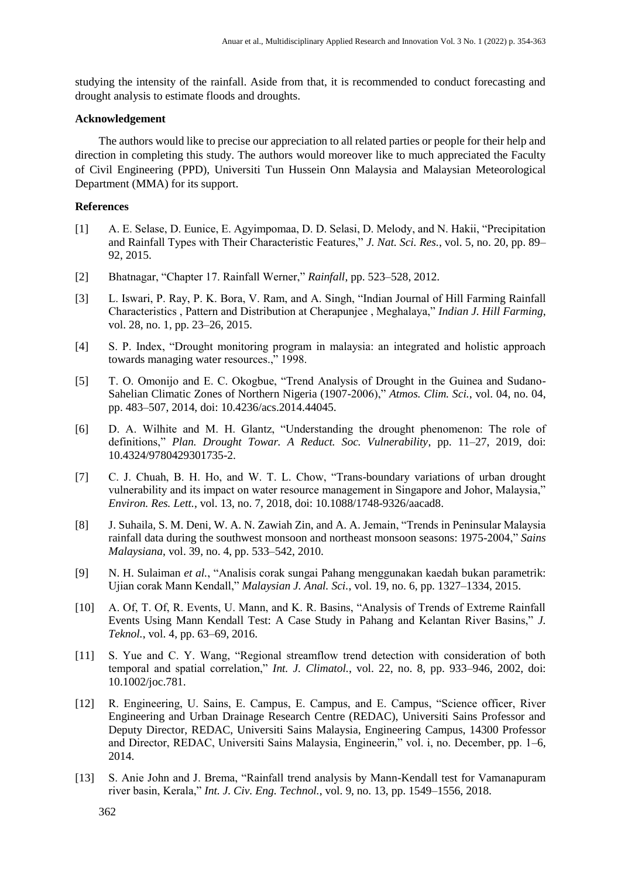studying the intensity of the rainfall. Aside from that, it is recommended to conduct forecasting and drought analysis to estimate floods and droughts.

# **Acknowledgement**

The authors would like to precise our appreciation to all related parties or people for their help and direction in completing this study. The authors would moreover like to much appreciated the Faculty of Civil Engineering (PPD), Universiti Tun Hussein Onn Malaysia and Malaysian Meteorological Department (MMA) for its support.

### **References**

- [1] A. E. Selase, D. Eunice, E. Agyimpomaa, D. D. Selasi, D. Melody, and N. Hakii, "Precipitation and Rainfall Types with Their Characteristic Features," *J. Nat. Sci. Res.*, vol. 5, no. 20, pp. 89– 92, 2015.
- [2] Bhatnagar, "Chapter 17. Rainfall Werner," *Rainfall*, pp. 523–528, 2012.
- [3] L. Iswari, P. Ray, P. K. Bora, V. Ram, and A. Singh, "Indian Journal of Hill Farming Rainfall Characteristics , Pattern and Distribution at Cherapunjee , Meghalaya," *Indian J. Hill Farming*, vol. 28, no. 1, pp. 23–26, 2015.
- [4] S. P. Index, "Drought monitoring program in malaysia: an integrated and holistic approach towards managing water resources.," 1998.
- [5] T. O. Omonijo and E. C. Okogbue, "Trend Analysis of Drought in the Guinea and Sudano-Sahelian Climatic Zones of Northern Nigeria (1907-2006)," *Atmos. Clim. Sci.*, vol. 04, no. 04, pp. 483–507, 2014, doi: 10.4236/acs.2014.44045.
- [6] D. A. Wilhite and M. H. Glantz, "Understanding the drought phenomenon: The role of definitions," *Plan. Drought Towar. A Reduct. Soc. Vulnerability*, pp. 11–27, 2019, doi: 10.4324/9780429301735-2.
- [7] C. J. Chuah, B. H. Ho, and W. T. L. Chow, "Trans-boundary variations of urban drought vulnerability and its impact on water resource management in Singapore and Johor, Malaysia," *Environ. Res. Lett.*, vol. 13, no. 7, 2018, doi: 10.1088/1748-9326/aacad8.
- [8] J. Suhaila, S. M. Deni, W. A. N. Zawiah Zin, and A. A. Jemain, "Trends in Peninsular Malaysia rainfall data during the southwest monsoon and northeast monsoon seasons: 1975-2004," *Sains Malaysiana*, vol. 39, no. 4, pp. 533–542, 2010.
- [9] N. H. Sulaiman *et al.*, "Analisis corak sungai Pahang menggunakan kaedah bukan parametrik: Ujian corak Mann Kendall," *Malaysian J. Anal. Sci.*, vol. 19, no. 6, pp. 1327–1334, 2015.
- [10] A. Of, T. Of, R. Events, U. Mann, and K. R. Basins, "Analysis of Trends of Extreme Rainfall Events Using Mann Kendall Test: A Case Study in Pahang and Kelantan River Basins," *J. Teknol.*, vol. 4, pp. 63–69, 2016.
- [11] S. Yue and C. Y. Wang, "Regional streamflow trend detection with consideration of both temporal and spatial correlation," *Int. J. Climatol.*, vol. 22, no. 8, pp. 933–946, 2002, doi: 10.1002/joc.781.
- [12] R. Engineering, U. Sains, E. Campus, E. Campus, and E. Campus, "Science officer, River Engineering and Urban Drainage Research Centre (REDAC), Universiti Sains Professor and Deputy Director, REDAC, Universiti Sains Malaysia, Engineering Campus, 14300 Professor and Director, REDAC, Universiti Sains Malaysia, Engineerin," vol. i, no. December, pp. 1–6, 2014.
- [13] S. Anie John and J. Brema, "Rainfall trend analysis by Mann-Kendall test for Vamanapuram river basin, Kerala," *Int. J. Civ. Eng. Technol.*, vol. 9, no. 13, pp. 1549–1556, 2018.